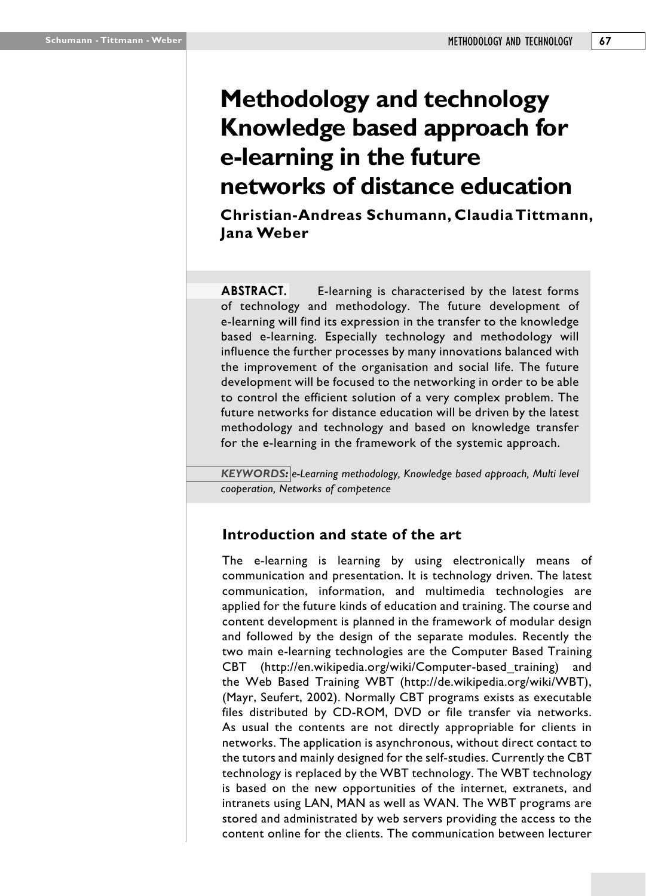# **Methodology and technology Knowledge based approach for e-learning in the future networks of distance education**

**Christian-Andreas Schumann, Claudia Tittmann, Jana Weber**

**ABSTRACT.** E-learning is characterised by the latest forms of technology and methodology. The future development of e-learning will find its expression in the transfer to the knowledge based e-learning. Especially technology and methodology will influence the further processes by many innovations balanced with the improvement of the organisation and social life. The future development will be focused to the networking in order to be able to control the efficient solution of a very complex problem. The future networks for distance education will be driven by the latest methodology and technology and based on knowledge transfer for the e-learning in the framework of the systemic approach.

*KEYWORDS: e-Learning methodology, Knowledge based approach, Multi level cooperation, Networks of competence*

## **Introduction and state of the art**

The e-learning is learning by using electronically means of communication and presentation. It is technology driven. The latest communication, information, and multimedia technologies are applied for the future kinds of education and training. The course and content development is planned in the framework of modular design and followed by the design of the separate modules. Recently the two main e-learning technologies are the Computer Based Training CBT (http://en.wikipedia.org/wiki/Computer-based\_training) and the Web Based Training WBT (http://de.wikipedia.org/wiki/WBT), (Mayr, Seufert, 2002). Normally CBT programs exists as executable files distributed by CD-ROM, DVD or file transfer via networks. As usual the contents are not directly appropriable for clients in networks. The application is asynchronous, without direct contact to the tutors and mainly designed for the self-studies. Currently the CBT technology is replaced by the WBT technology. The WBT technology is based on the new opportunities of the internet, extranets, and intranets using LAN, MAN as well as WAN. The WBT programs are stored and administrated by web servers providing the access to the content online for the clients. The communication between lecturer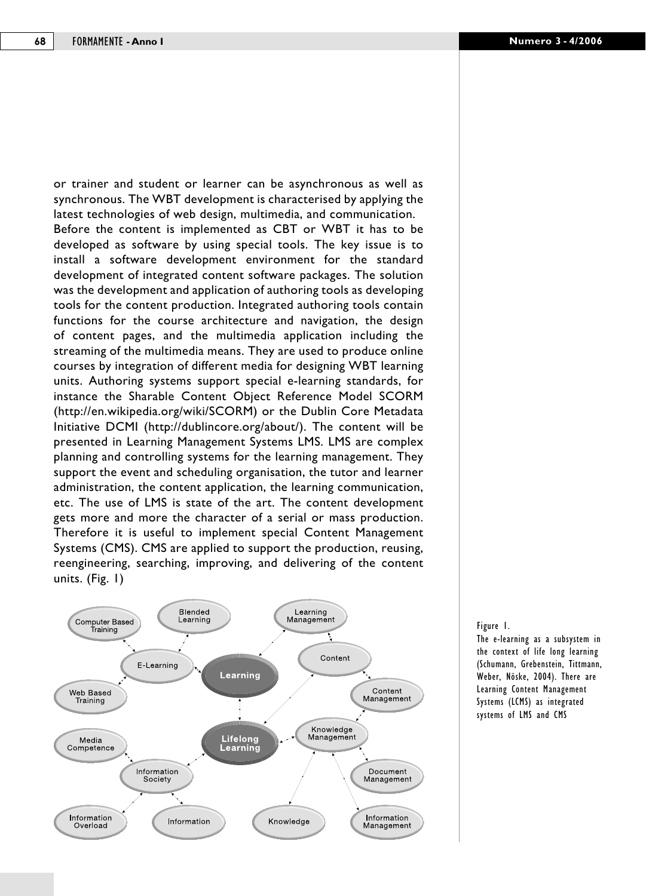or trainer and student or learner can be asynchronous as well as synchronous. The WBT development is characterised by applying the latest technologies of web design, multimedia, and communication. Before the content is implemented as CBT or WBT it has to be developed as software by using special tools. The key issue is to install a software development environment for the standard development of integrated content software packages. The solution was the development and application of authoring tools as developing tools for the content production. Integrated authoring tools contain functions for the course architecture and navigation, the design of content pages, and the multimedia application including the streaming of the multimedia means. They are used to produce online courses by integration of different media for designing WBT learning units. Authoring systems support special e-learning standards, for instance the Sharable Content Object Reference Model SCORM (http://en.wikipedia.org/wiki/SCORM) or the Dublin Core Metadata Initiative DCMI (http://dublincore.org/about/). The content will be presented in Learning Management Systems LMS. LMS are complex planning and controlling systems for the learning management. They support the event and scheduling organisation, the tutor and learner administration, the content application, the learning communication, etc. The use of LMS is state of the art. The content development gets more and more the character of a serial or mass production. Therefore it is useful to implement special Content Management Systems (CMS). CMS are applied to support the production, reusing, reengineering, searching, improving, and delivering of the content units. (Fig. 1)



Figure 1.

The e-learning as a subsystem in the context of life long learning (Schumann, Grebenstein, Tittmann, Weber, Nöske, 2004). There are Learning Content Management Systems (LCMS) as integrated systems of LMS and CMS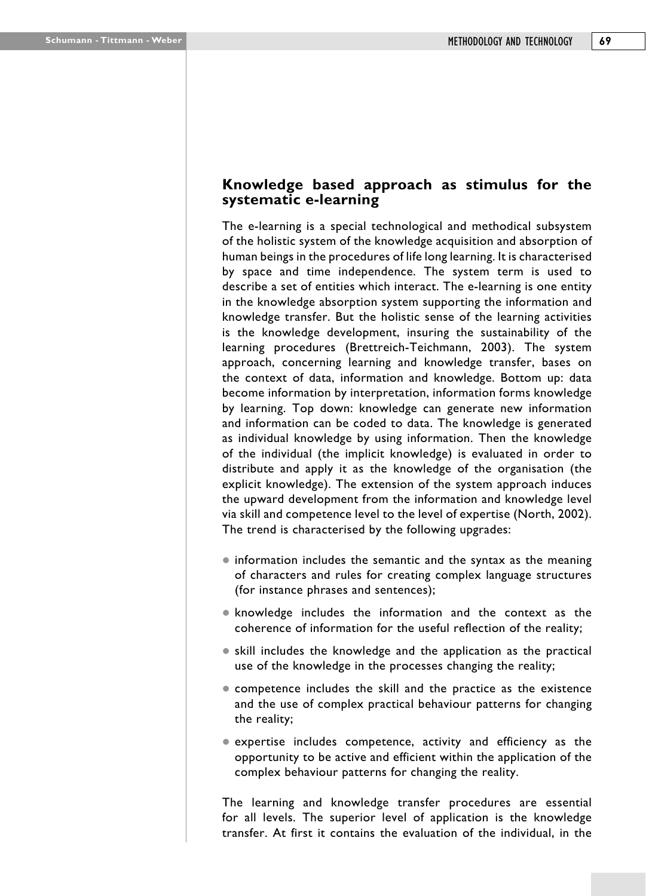## **Knowledge based approach as stimulus for the systematic e-learning**

The e-learning is a special technological and methodical subsystem of the holistic system of the knowledge acquisition and absorption of human beings in the procedures of life long learning. It is characterised by space and time independence. The system term is used to describe a set of entities which interact. The e-learning is one entity in the knowledge absorption system supporting the information and knowledge transfer. But the holistic sense of the learning activities is the knowledge development, insuring the sustainability of the learning procedures (Brettreich-Teichmann, 2003). The system approach, concerning learning and knowledge transfer, bases on the context of data, information and knowledge. Bottom up: data become information by interpretation, information forms knowledge by learning. Top down: knowledge can generate new information and information can be coded to data. The knowledge is generated as individual knowledge by using information. Then the knowledge of the individual (the implicit knowledge) is evaluated in order to distribute and apply it as the knowledge of the organisation (the explicit knowledge). The extension of the system approach induces the upward development from the information and knowledge level via skill and competence level to the level of expertise (North, 2002). The trend is characterised by the following upgrades:

- $\bullet$  information includes the semantic and the syntax as the meaning of characters and rules for creating complex language structures (for instance phrases and sentences);
- knowledge includes the information and the context as the coherence of information for the useful reflection of the reality;
- skill includes the knowledge and the application as the practical use of the knowledge in the processes changing the reality;
- competence includes the skill and the practice as the existence and the use of complex practical behaviour patterns for changing the reality;
- expertise includes competence, activity and efficiency as the opportunity to be active and efficient within the application of the complex behaviour patterns for changing the reality.

The learning and knowledge transfer procedures are essential for all levels. The superior level of application is the knowledge transfer. At first it contains the evaluation of the individual, in the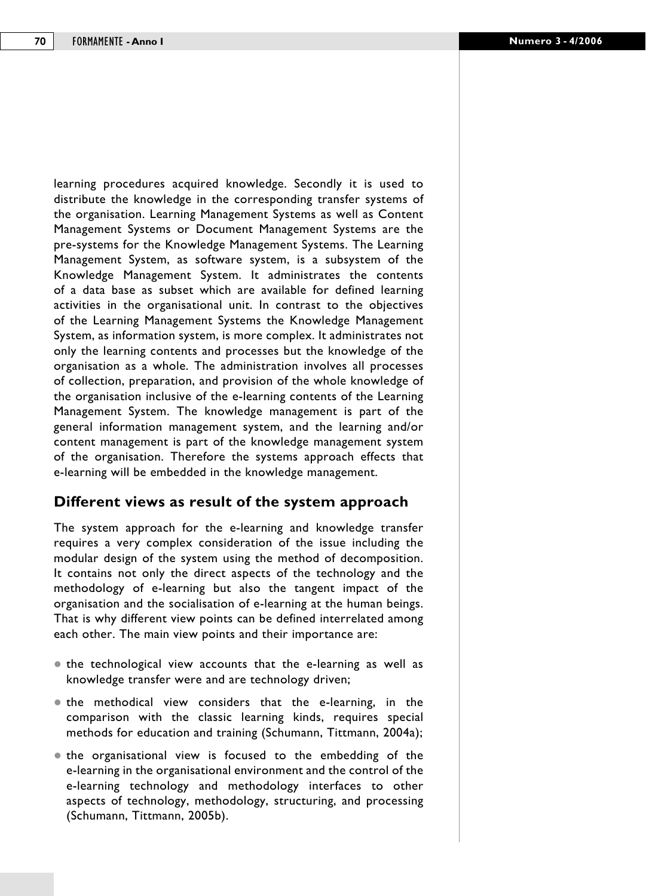learning procedures acquired knowledge. Secondly it is used to distribute the knowledge in the corresponding transfer systems of the organisation. Learning Management Systems as well as Content Management Systems or Document Management Systems are the pre-systems for the Knowledge Management Systems. The Learning Management System, as software system, is a subsystem of the Knowledge Management System. It administrates the contents of a data base as subset which are available for defined learning activities in the organisational unit. In contrast to the objectives of the Learning Management Systems the Knowledge Management System, as information system, is more complex. It administrates not only the learning contents and processes but the knowledge of the organisation as a whole. The administration involves all processes of collection, preparation, and provision of the whole knowledge of the organisation inclusive of the e-learning contents of the Learning Management System. The knowledge management is part of the general information management system, and the learning and/or content management is part of the knowledge management system of the organisation. Therefore the systems approach effects that e-learning will be embedded in the knowledge management.

#### **Different views as result of the system approach**

The system approach for the e-learning and knowledge transfer requires a very complex consideration of the issue including the modular design of the system using the method of decomposition. It contains not only the direct aspects of the technology and the methodology of e-learning but also the tangent impact of the organisation and the socialisation of e-learning at the human beings. That is why different view points can be defined interrelated among each other. The main view points and their importance are:

- the technological view accounts that the e-learning as well as knowledge transfer were and are technology driven;
- the methodical view considers that the e-learning, in the comparison with the classic learning kinds, requires special methods for education and training (Schumann, Tittmann, 2004a);
- $\bullet$  the organisational view is focused to the embedding of the e-learning in the organisational environment and the control of the e-learning technology and methodology interfaces to other aspects of technology, methodology, structuring, and processing (Schumann, Tittmann, 2005b).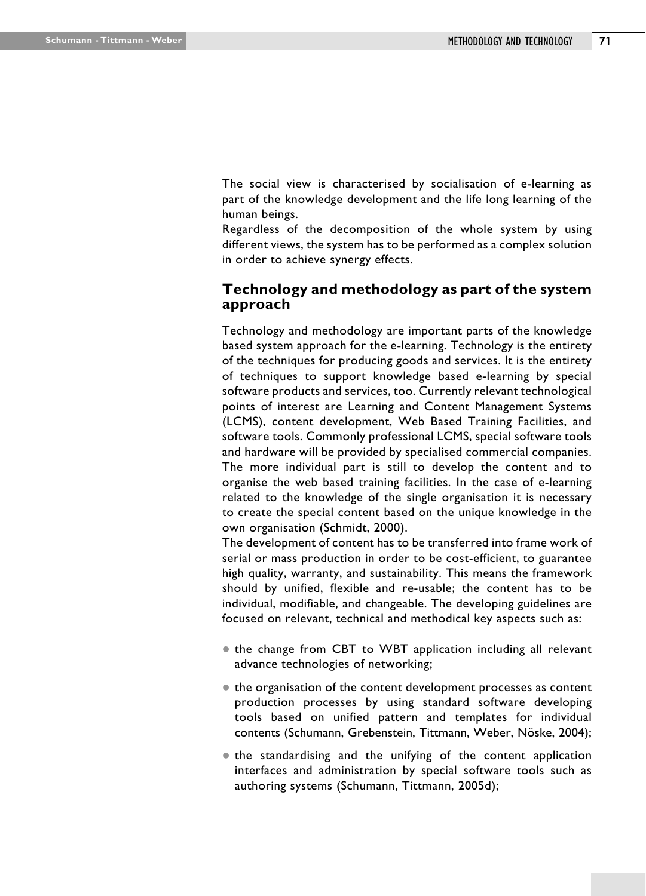The social view is characterised by socialisation of e-learning as part of the knowledge development and the life long learning of the human beings.

Regardless of the decomposition of the whole system by using different views, the system has to be performed as a complex solution in order to achieve synergy effects.

## **Technology and methodology as part of the system approach**

Technology and methodology are important parts of the knowledge based system approach for the e-learning. Technology is the entirety of the techniques for producing goods and services. It is the entirety of techniques to support knowledge based e-learning by special software products and services, too. Currently relevant technological points of interest are Learning and Content Management Systems (LCMS), content development, Web Based Training Facilities, and software tools. Commonly professional LCMS, special software tools and hardware will be provided by specialised commercial companies. The more individual part is still to develop the content and to organise the web based training facilities. In the case of e-learning related to the knowledge of the single organisation it is necessary to create the special content based on the unique knowledge in the own organisation (Schmidt, 2000).

The development of content has to be transferred into frame work of serial or mass production in order to be cost-efficient, to guarantee high quality, warranty, and sustainability. This means the framework should by unified, flexible and re-usable; the content has to be individual, modifiable, and changeable. The developing guidelines are focused on relevant, technical and methodical key aspects such as:

- $\bullet$  the change from CBT to WBT application including all relevant advance technologies of networking;
- $\bullet$  the organisation of the content development processes as content production processes by using standard software developing tools based on unified pattern and templates for individual contents (Schumann, Grebenstein, Tittmann, Weber, Nöske, 2004);
- the standardising and the unifying of the content application interfaces and administration by special software tools such as authoring systems (Schumann, Tittmann, 2005d);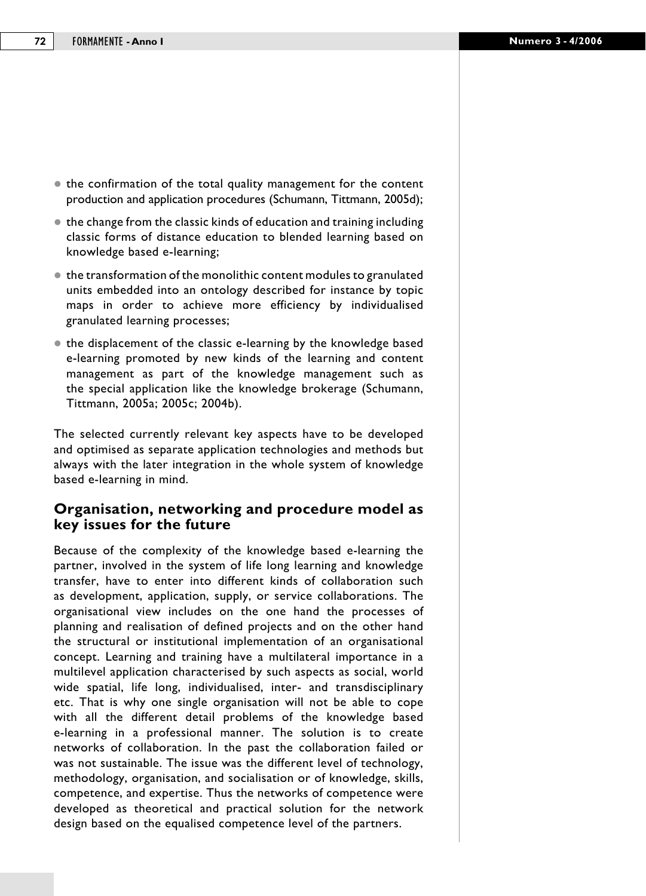- $\bullet$  the confirmation of the total quality management for the content production and application procedures (Schumann, Tittmann, 2005d);
- $\bullet$  the change from the classic kinds of education and training including classic forms of distance education to blended learning based on knowledge based e-learning;
- $\bullet$  the transformation of the monolithic content modules to granulated units embedded into an ontology described for instance by topic maps in order to achieve more efficiency by individualised granulated learning processes;
- the displacement of the classic e-learning by the knowledge based e-learning promoted by new kinds of the learning and content management as part of the knowledge management such as the special application like the knowledge brokerage (Schumann, Tittmann, 2005a; 2005c; 2004b).

The selected currently relevant key aspects have to be developed and optimised as separate application technologies and methods but always with the later integration in the whole system of knowledge based e-learning in mind.

## **Organisation, networking and procedure model as key issues for the future**

Because of the complexity of the knowledge based e-learning the partner, involved in the system of life long learning and knowledge transfer, have to enter into different kinds of collaboration such as development, application, supply, or service collaborations. The organisational view includes on the one hand the processes of planning and realisation of defined projects and on the other hand the structural or institutional implementation of an organisational concept. Learning and training have a multilateral importance in a multilevel application characterised by such aspects as social, world wide spatial, life long, individualised, inter- and transdisciplinary etc. That is why one single organisation will not be able to cope with all the different detail problems of the knowledge based e-learning in a professional manner. The solution is to create networks of collaboration. In the past the collaboration failed or was not sustainable. The issue was the different level of technology, methodology, organisation, and socialisation or of knowledge, skills, competence, and expertise. Thus the networks of competence were developed as theoretical and practical solution for the network design based on the equalised competence level of the partners.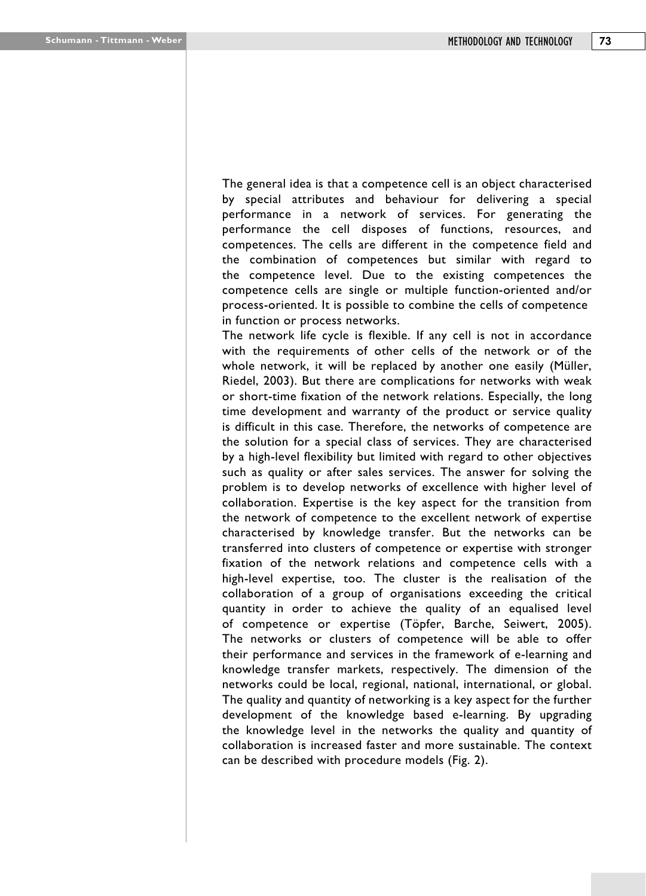The general idea is that a competence cell is an object characterised by special attributes and behaviour for delivering a special performance in a network of services. For generating the performance the cell disposes of functions, resources, and competences. The cells are different in the competence field and the combination of competences but similar with regard to the competence level. Due to the existing competences the competence cells are single or multiple function-oriented and/or process-oriented. It is possible to combine the cells of competence in function or process networks.

The network life cycle is flexible. If any cell is not in accordance with the requirements of other cells of the network or of the whole network, it will be replaced by another one easily (Müller, Riedel, 2003). But there are complications for networks with weak or short-time fixation of the network relations. Especially, the long time development and warranty of the product or service quality is difficult in this case. Therefore, the networks of competence are the solution for a special class of services. They are characterised by a high-level flexibility but limited with regard to other objectives such as quality or after sales services. The answer for solving the problem is to develop networks of excellence with higher level of collaboration. Expertise is the key aspect for the transition from the network of competence to the excellent network of expertise characterised by knowledge transfer. But the networks can be transferred into clusters of competence or expertise with stronger fixation of the network relations and competence cells with a high-level expertise, too. The cluster is the realisation of the collaboration of a group of organisations exceeding the critical quantity in order to achieve the quality of an equalised level of competence or expertise (Töpfer, Barche, Seiwert, 2005). The networks or clusters of competence will be able to offer their performance and services in the framework of e-learning and knowledge transfer markets, respectively. The dimension of the networks could be local, regional, national, international, or global. The quality and quantity of networking is a key aspect for the further development of the knowledge based e-learning. By upgrading the knowledge level in the networks the quality and quantity of collaboration is increased faster and more sustainable. The context can be described with procedure models (Fig. 2).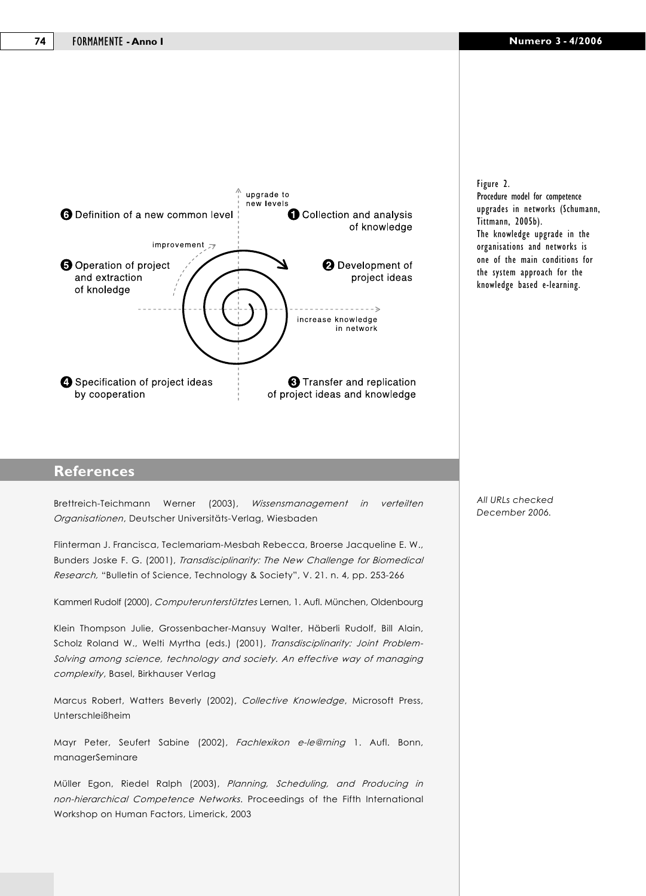

Figure 2.

Procedure model for competence upgrades in networks (Schumann, Tittmann, 2005b). The knowledge upgrade in the organisations and networks is one of the main conditions for the system approach for the knowledge based e-learning.

### **References**

Brettreich-Teichmann Werner (2003), *Wissensmanagement in verteilten Organisationen*, Deutscher Universitäts-Verlag, Wiesbaden

Flinterman J. Francisca, Teclemariam-Mesbah Rebecca, Broerse Jacqueline E. W., Bunders Joske F. G. (2001), *Transdisciplinarity: The New Challenge for Biomedical Research,* "Bulletin of Science, Technology & Society", V. 21. n. 4, pp. 253-266

Kammerl Rudolf (2000), *Computerunterstütztes* Lernen, 1. Aufl. München, Oldenbourg

Klein Thompson Julie, Grossenbacher-Mansuy Walter, Häberli Rudolf, Bill Alain, Scholz Roland W., Welti Myrtha (eds.) (2001), *Transdisciplinarity: Joint Problem-Solving among science, technology and society. An effective way of managing complexity*, Basel, Birkhauser Verlag

Marcus Robert, Watters Beverly (2002), *Collective Knowledge*, Microsoft Press, Unterschleißheim

Mayr Peter, Seufert Sabine (2002), *Fachlexikon e-le@rning* 1. Aufl. Bonn, managerSeminare

Müller Egon, Riedel Ralph (2003), *Planning, Scheduling, and Producing in non-hierarchical Competence Networks*. Proceedings of the Fifth International Workshop on Human Factors, Limerick, 2003

*All URLs checked December 2006.*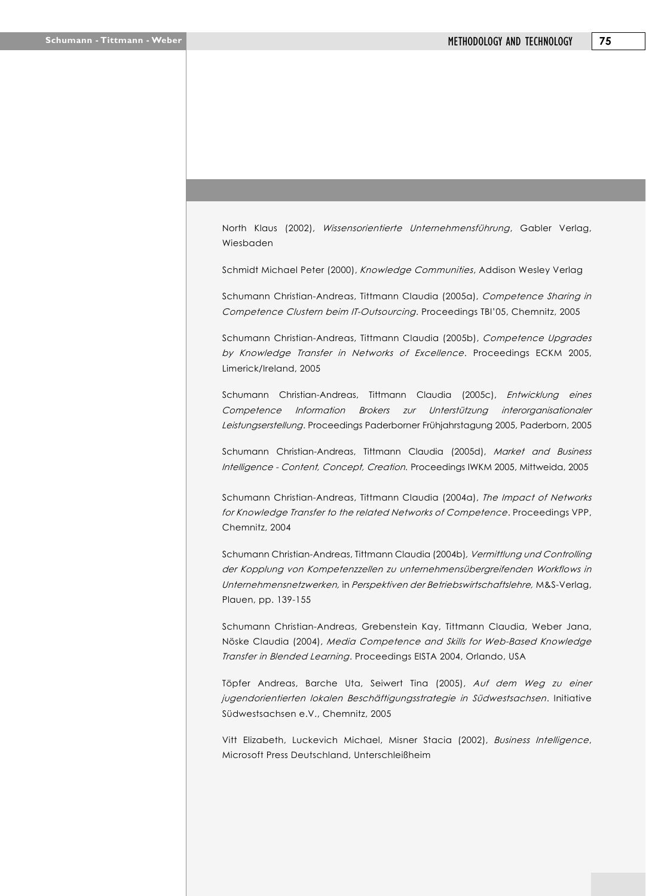North Klaus (2002), *Wissensorientierte Unternehmensführung*, Gabler Verlag, Wiesbaden

Schmidt Michael Peter (2000), *Knowledge Communities*, Addison Wesley Verlag

Schumann Christian-Andreas, Tittmann Claudia (2005a), *Competence Sharing in Competence Clustern beim IT-Outsourcing*. Proceedings TBI'05, Chemnitz, 2005

Schumann Christian-Andreas, Tittmann Claudia (2005b), *Competence Upgrades by Knowledge Transfer in Networks of Excellence*. Proceedings ECKM 2005, Limerick/Ireland, 2005

Schumann Christian-Andreas, Tittmann Claudia (2005c), *Entwicklung eines Competence Information Brokers zur Unterstützung interorganisationaler Leistungserstellung*. Proceedings Paderborner Frühjahrstagung 2005, Paderborn, 2005

Schumann Christian-Andreas, Tittmann Claudia (2005d), *Market and Business Intelligence - Content, Concept, Creation.* Proceedings IWKM 2005, Mittweida, 2005

Schumann Christian-Andreas, Tittmann Claudia (2004a), *The Impact of Networks for Knowledge Transfer to the related Networks of Competence*. Proceedings VPP, Chemnitz, 2004

Schumann Christian-Andreas, Tittmann Claudia (2004b)*, Vermittlung und Controlling der Kopplung von Kompetenzzellen zu unternehmensübergreifenden Workflows in Unternehmensnetzwerken,* in *Perspektiven der Betriebswirtschaftslehre,* M&S-Verlag, Plauen, pp. 139-155

Schumann Christian-Andreas, Grebenstein Kay, Tittmann Claudia, Weber Jana, Nöske Claudia (2004), *Media Competence and Skills for Web-Based Knowledge Transfer in Blended Learning*. Proceedings EISTA 2004, Orlando, USA

Töpfer Andreas, Barche Uta, Seiwert Tina (2005), *Auf dem Weg zu einer jugendorientierten lokalen Beschäftigungsstrategie in Südwestsachsen*. Initiative Südwestsachsen e.V., Chemnitz, 2005

Vitt Elizabeth, Luckevich Michael, Misner Stacia (2002), *Business Intelligence*, Microsoft Press Deutschland, Unterschleißheim